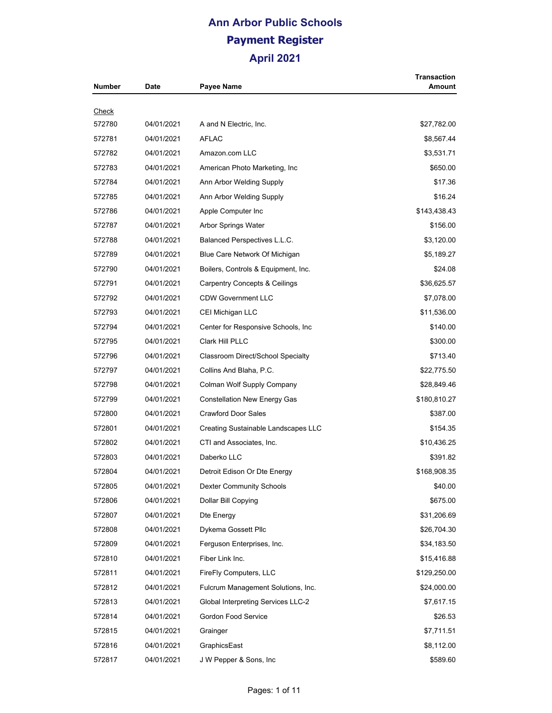| <b>Number</b> | Date       | Payee Name                                | Transaction<br>Amount |
|---------------|------------|-------------------------------------------|-----------------------|
| <u>Check</u>  |            |                                           |                       |
| 572780        | 04/01/2021 | A and N Electric, Inc.                    | \$27,782.00           |
| 572781        | 04/01/2021 | <b>AFLAC</b>                              | \$8,567.44            |
| 572782        | 04/01/2021 | Amazon.com LLC                            | \$3,531.71            |
| 572783        | 04/01/2021 | American Photo Marketing, Inc.            | \$650.00              |
| 572784        | 04/01/2021 | Ann Arbor Welding Supply                  | \$17.36               |
| 572785        | 04/01/2021 | Ann Arbor Welding Supply                  | \$16.24               |
| 572786        | 04/01/2021 | Apple Computer Inc                        | \$143,438.43          |
| 572787        | 04/01/2021 | Arbor Springs Water                       | \$156.00              |
| 572788        | 04/01/2021 | Balanced Perspectives L.L.C.              | \$3,120.00            |
| 572789        | 04/01/2021 | Blue Care Network Of Michigan             | \$5,189.27            |
| 572790        | 04/01/2021 | Boilers, Controls & Equipment, Inc.       | \$24.08               |
| 572791        | 04/01/2021 | <b>Carpentry Concepts &amp; Ceilings</b>  | \$36,625.57           |
| 572792        | 04/01/2021 | <b>CDW Government LLC</b>                 | \$7,078.00            |
| 572793        | 04/01/2021 | CEI Michigan LLC                          | \$11,536.00           |
| 572794        | 04/01/2021 | Center for Responsive Schools, Inc.       | \$140.00              |
| 572795        | 04/01/2021 | Clark Hill PLLC                           | \$300.00              |
| 572796        | 04/01/2021 | Classroom Direct/School Specialty         | \$713.40              |
| 572797        | 04/01/2021 | Collins And Blaha, P.C.                   | \$22,775.50           |
| 572798        | 04/01/2021 | Colman Wolf Supply Company                | \$28,849.46           |
| 572799        | 04/01/2021 | <b>Constellation New Energy Gas</b>       | \$180,810.27          |
| 572800        | 04/01/2021 | <b>Crawford Door Sales</b>                | \$387.00              |
| 572801        | 04/01/2021 | Creating Sustainable Landscapes LLC       | \$154.35              |
| 572802        | 04/01/2021 | CTI and Associates, Inc.                  | \$10,436.25           |
| 572803        | 04/01/2021 | Daberko LLC                               | \$391.82              |
| 572804        | 04/01/2021 | Detroit Edison Or Dte Energy              | \$168,908.35          |
| 572805        | 04/01/2021 | <b>Dexter Community Schools</b>           | \$40.00               |
| 572806        | 04/01/2021 | Dollar Bill Copying                       | \$675.00              |
| 572807        | 04/01/2021 | Dte Energy                                | \$31,206.69           |
| 572808        | 04/01/2021 | Dykema Gossett Pllc                       | \$26,704.30           |
| 572809        | 04/01/2021 | Ferguson Enterprises, Inc.                | \$34,183.50           |
| 572810        | 04/01/2021 | Fiber Link Inc.                           | \$15,416.88           |
| 572811        | 04/01/2021 | FireFly Computers, LLC                    | \$129,250.00          |
| 572812        | 04/01/2021 | Fulcrum Management Solutions, Inc.        | \$24,000.00           |
| 572813        | 04/01/2021 | <b>Global Interpreting Services LLC-2</b> | \$7,617.15            |
| 572814        | 04/01/2021 | Gordon Food Service                       | \$26.53               |
| 572815        | 04/01/2021 | Grainger                                  | \$7,711.51            |
| 572816        | 04/01/2021 | GraphicsEast                              | \$8,112.00            |
| 572817        | 04/01/2021 | J W Pepper & Sons, Inc.                   | \$589.60              |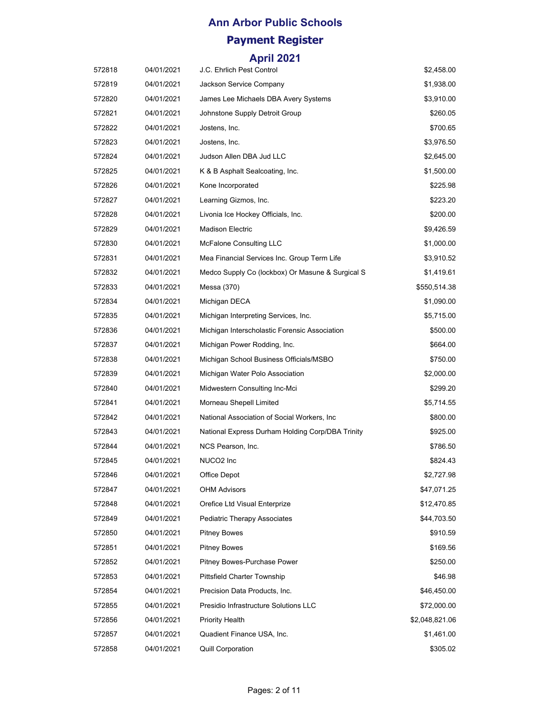| 572818 | 04/01/2021 | J.C. Ehrlich Pest Control                        | \$2,458.00     |
|--------|------------|--------------------------------------------------|----------------|
| 572819 | 04/01/2021 | Jackson Service Company                          | \$1,938.00     |
| 572820 | 04/01/2021 | James Lee Michaels DBA Avery Systems             | \$3,910.00     |
| 572821 | 04/01/2021 | Johnstone Supply Detroit Group                   | \$260.05       |
| 572822 | 04/01/2021 | Jostens, Inc.                                    | \$700.65       |
| 572823 | 04/01/2021 | Jostens, Inc.                                    | \$3,976.50     |
| 572824 | 04/01/2021 | Judson Allen DBA Jud LLC                         | \$2,645.00     |
| 572825 | 04/01/2021 | K & B Asphalt Sealcoating, Inc.                  | \$1,500.00     |
| 572826 | 04/01/2021 | Kone Incorporated                                | \$225.98       |
| 572827 | 04/01/2021 | Learning Gizmos, Inc.                            | \$223.20       |
| 572828 | 04/01/2021 | Livonia Ice Hockey Officials, Inc.               | \$200.00       |
| 572829 | 04/01/2021 | Madison Electric                                 | \$9,426.59     |
| 572830 | 04/01/2021 | McFalone Consulting LLC                          | \$1,000.00     |
| 572831 | 04/01/2021 | Mea Financial Services Inc. Group Term Life      | \$3,910.52     |
| 572832 | 04/01/2021 | Medco Supply Co (lockbox) Or Masune & Surgical S | \$1,419.61     |
| 572833 | 04/01/2021 | Messa (370)                                      | \$550,514.38   |
| 572834 | 04/01/2021 | Michigan DECA                                    | \$1,090.00     |
| 572835 | 04/01/2021 | Michigan Interpreting Services, Inc.             | \$5,715.00     |
| 572836 | 04/01/2021 | Michigan Interscholastic Forensic Association    | \$500.00       |
| 572837 | 04/01/2021 | Michigan Power Rodding, Inc.                     | \$664.00       |
| 572838 | 04/01/2021 | Michigan School Business Officials/MSBO          | \$750.00       |
| 572839 | 04/01/2021 | Michigan Water Polo Association                  | \$2,000.00     |
| 572840 | 04/01/2021 | Midwestern Consulting Inc-Mci                    | \$299.20       |
| 572841 | 04/01/2021 | Morneau Shepell Limited                          | \$5,714.55     |
| 572842 | 04/01/2021 | National Association of Social Workers, Inc.     | \$800.00       |
| 572843 | 04/01/2021 | National Express Durham Holding Corp/DBA Trinity | \$925.00       |
| 572844 | 04/01/2021 | NCS Pearson, Inc.                                | \$786.50       |
| 572845 | 04/01/2021 | NUCO2 Inc                                        | \$824.43       |
| 572846 | 04/01/2021 | Office Depot                                     | \$2,727.98     |
| 572847 | 04/01/2021 | <b>OHM Advisors</b>                              | \$47,071.25    |
| 572848 | 04/01/2021 | Orefice Ltd Visual Enterprize                    | \$12,470.85    |
| 572849 | 04/01/2021 | <b>Pediatric Therapy Associates</b>              | \$44,703.50    |
| 572850 | 04/01/2021 | <b>Pitney Bowes</b>                              | \$910.59       |
| 572851 | 04/01/2021 | <b>Pitney Bowes</b>                              | \$169.56       |
| 572852 | 04/01/2021 | Pitney Bowes-Purchase Power                      | \$250.00       |
| 572853 | 04/01/2021 | Pittsfield Charter Township                      | \$46.98        |
| 572854 | 04/01/2021 | Precision Data Products, Inc.                    | \$46,450.00    |
| 572855 | 04/01/2021 | Presidio Infrastructure Solutions LLC            | \$72,000.00    |
| 572856 | 04/01/2021 | <b>Priority Health</b>                           | \$2,048,821.06 |
| 572857 | 04/01/2021 | Quadient Finance USA, Inc.                       | \$1,461.00     |
| 572858 | 04/01/2021 | <b>Quill Corporation</b>                         | \$305.02       |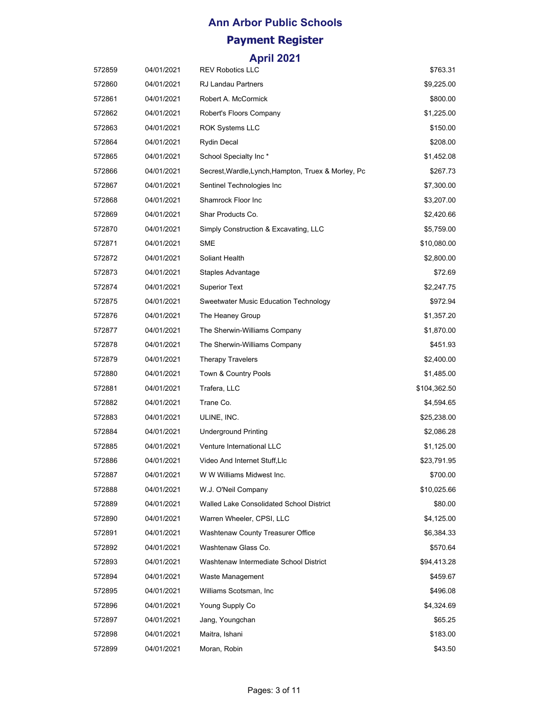| 572859 | 04/01/2021 | <b>REV Robotics LLC</b>                             | \$763.31     |
|--------|------------|-----------------------------------------------------|--------------|
| 572860 | 04/01/2021 | <b>RJ Landau Partners</b>                           | \$9,225.00   |
| 572861 | 04/01/2021 | Robert A. McCormick                                 | \$800.00     |
| 572862 | 04/01/2021 | Robert's Floors Company                             | \$1,225.00   |
| 572863 | 04/01/2021 | <b>ROK Systems LLC</b>                              | \$150.00     |
| 572864 | 04/01/2021 | Rydin Decal                                         | \$208.00     |
| 572865 | 04/01/2021 | School Specialty Inc*                               | \$1,452.08   |
| 572866 | 04/01/2021 | Secrest, Wardle, Lynch, Hampton, Truex & Morley, Pc | \$267.73     |
| 572867 | 04/01/2021 | Sentinel Technologies Inc                           | \$7,300.00   |
| 572868 | 04/01/2021 | Shamrock Floor Inc                                  | \$3,207.00   |
| 572869 | 04/01/2021 | Shar Products Co.                                   | \$2,420.66   |
| 572870 | 04/01/2021 | Simply Construction & Excavating, LLC               | \$5,759.00   |
| 572871 | 04/01/2021 | <b>SME</b>                                          | \$10,080.00  |
| 572872 | 04/01/2021 | Soliant Health                                      | \$2,800.00   |
| 572873 | 04/01/2021 | Staples Advantage                                   | \$72.69      |
| 572874 | 04/01/2021 | <b>Superior Text</b>                                | \$2,247.75   |
| 572875 | 04/01/2021 | Sweetwater Music Education Technology               | \$972.94     |
| 572876 | 04/01/2021 | The Heaney Group                                    | \$1,357.20   |
| 572877 | 04/01/2021 | The Sherwin-Williams Company                        | \$1,870.00   |
| 572878 | 04/01/2021 | The Sherwin-Williams Company                        | \$451.93     |
| 572879 | 04/01/2021 | <b>Therapy Travelers</b>                            | \$2,400.00   |
| 572880 | 04/01/2021 | Town & Country Pools                                | \$1,485.00   |
| 572881 | 04/01/2021 | Trafera, LLC                                        | \$104,362.50 |
| 572882 | 04/01/2021 | Trane Co.                                           | \$4,594.65   |
| 572883 | 04/01/2021 | ULINE, INC.                                         | \$25,238.00  |
| 572884 | 04/01/2021 | <b>Underground Printing</b>                         | \$2,086.28   |
| 572885 | 04/01/2021 | Venture International LLC                           | \$1,125.00   |
| 572886 | 04/01/2021 | Video And Internet Stuff, Llc                       | \$23,791.95  |
| 572887 | 04/01/2021 | W W Williams Midwest Inc.                           | \$700.00     |
| 572888 | 04/01/2021 | W.J. O'Neil Company                                 | \$10,025.66  |
| 572889 | 04/01/2021 | Walled Lake Consolidated School District            | \$80.00      |
| 572890 | 04/01/2021 | Warren Wheeler, CPSI, LLC                           | \$4,125.00   |
| 572891 | 04/01/2021 | Washtenaw County Treasurer Office                   | \$6,384.33   |
| 572892 | 04/01/2021 | Washtenaw Glass Co.                                 | \$570.64     |
| 572893 | 04/01/2021 | Washtenaw Intermediate School District              | \$94,413.28  |
| 572894 | 04/01/2021 | Waste Management                                    | \$459.67     |
| 572895 | 04/01/2021 | Williams Scotsman, Inc.                             | \$496.08     |
| 572896 | 04/01/2021 | Young Supply Co                                     | \$4,324.69   |
| 572897 | 04/01/2021 | Jang, Youngchan                                     | \$65.25      |
| 572898 | 04/01/2021 | Maitra, Ishani                                      | \$183.00     |
| 572899 | 04/01/2021 | Moran, Robin                                        | \$43.50      |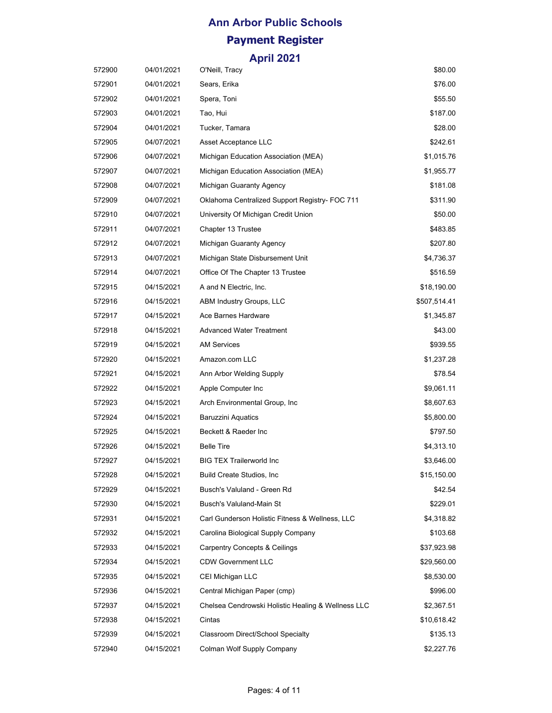| 572900 | 04/01/2021 | O'Neill, Tracy                                     | \$80.00      |
|--------|------------|----------------------------------------------------|--------------|
| 572901 | 04/01/2021 | Sears, Erika                                       | \$76.00      |
| 572902 | 04/01/2021 | Spera, Toni                                        | \$55.50      |
| 572903 | 04/01/2021 | Tao, Hui                                           | \$187.00     |
| 572904 | 04/01/2021 | Tucker, Tamara                                     | \$28.00      |
| 572905 | 04/07/2021 | Asset Acceptance LLC                               | \$242.61     |
| 572906 | 04/07/2021 | Michigan Education Association (MEA)               | \$1,015.76   |
| 572907 | 04/07/2021 | Michigan Education Association (MEA)               | \$1,955.77   |
| 572908 | 04/07/2021 | Michigan Guaranty Agency                           | \$181.08     |
| 572909 | 04/07/2021 | Oklahoma Centralized Support Registry- FOC 711     | \$311.90     |
| 572910 | 04/07/2021 | University Of Michigan Credit Union                | \$50.00      |
| 572911 | 04/07/2021 | Chapter 13 Trustee                                 | \$483.85     |
| 572912 | 04/07/2021 | Michigan Guaranty Agency                           | \$207.80     |
| 572913 | 04/07/2021 | Michigan State Disbursement Unit                   | \$4,736.37   |
| 572914 | 04/07/2021 | Office Of The Chapter 13 Trustee                   | \$516.59     |
| 572915 | 04/15/2021 | A and N Electric, Inc.                             | \$18,190.00  |
| 572916 | 04/15/2021 | ABM Industry Groups, LLC                           | \$507,514.41 |
| 572917 | 04/15/2021 | Ace Barnes Hardware                                | \$1,345.87   |
| 572918 | 04/15/2021 | <b>Advanced Water Treatment</b>                    | \$43.00      |
| 572919 | 04/15/2021 | <b>AM Services</b>                                 | \$939.55     |
| 572920 | 04/15/2021 | Amazon.com LLC                                     | \$1,237.28   |
| 572921 | 04/15/2021 | Ann Arbor Welding Supply                           | \$78.54      |
| 572922 | 04/15/2021 | Apple Computer Inc                                 | \$9,061.11   |
| 572923 | 04/15/2021 | Arch Environmental Group, Inc.                     | \$8,607.63   |
| 572924 | 04/15/2021 | <b>Baruzzini Aquatics</b>                          | \$5,800.00   |
| 572925 | 04/15/2021 | Beckett & Raeder Inc                               | \$797.50     |
| 572926 | 04/15/2021 | <b>Belle Tire</b>                                  | \$4,313.10   |
| 572927 | 04/15/2021 | <b>BIG TEX Trailerworld Inc.</b>                   | \$3,646.00   |
| 572928 | 04/15/2021 | Build Create Studios, Inc.                         | \$15,150.00  |
| 572929 | 04/15/2021 | Busch's Valuland - Green Rd                        | \$42.54      |
| 572930 | 04/15/2021 | Busch's Valuland-Main St                           | \$229.01     |
| 572931 | 04/15/2021 | Carl Gunderson Holistic Fitness & Wellness, LLC    | \$4,318.82   |
| 572932 | 04/15/2021 | Carolina Biological Supply Company                 | \$103.68     |
| 572933 | 04/15/2021 | <b>Carpentry Concepts &amp; Ceilings</b>           | \$37,923.98  |
| 572934 | 04/15/2021 | <b>CDW Government LLC</b>                          | \$29,560.00  |
| 572935 | 04/15/2021 | CEI Michigan LLC                                   | \$8,530.00   |
| 572936 | 04/15/2021 | Central Michigan Paper (cmp)                       | \$996.00     |
| 572937 | 04/15/2021 | Chelsea Cendrowski Holistic Healing & Wellness LLC | \$2,367.51   |
| 572938 | 04/15/2021 | Cintas                                             | \$10,618.42  |
| 572939 | 04/15/2021 | Classroom Direct/School Specialty                  | \$135.13     |
| 572940 | 04/15/2021 | Colman Wolf Supply Company                         | \$2,227.76   |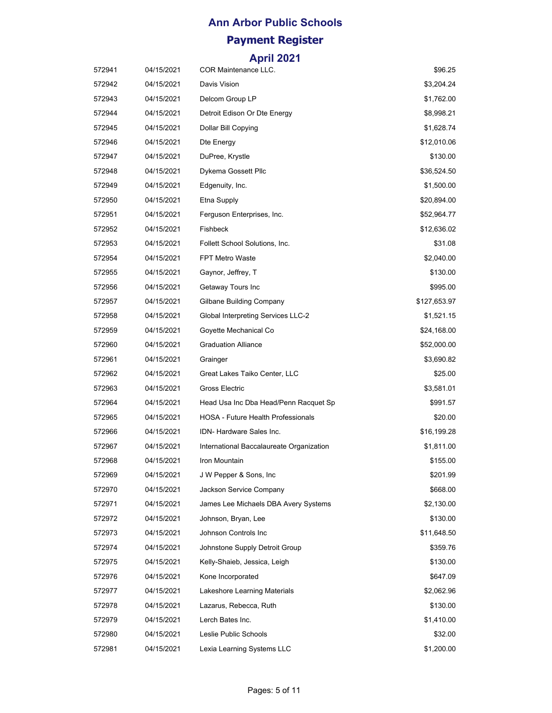| 572941 | 04/15/2021 | <b>COR Maintenance LLC.</b>               | \$96.25      |
|--------|------------|-------------------------------------------|--------------|
| 572942 | 04/15/2021 | Davis Vision                              | \$3,204.24   |
| 572943 | 04/15/2021 | Delcom Group LP                           | \$1,762.00   |
| 572944 | 04/15/2021 | Detroit Edison Or Dte Energy              | \$8,998.21   |
| 572945 | 04/15/2021 | Dollar Bill Copying                       | \$1,628.74   |
| 572946 | 04/15/2021 | Dte Energy                                | \$12,010.06  |
| 572947 | 04/15/2021 | DuPree, Krystle                           | \$130.00     |
| 572948 | 04/15/2021 | Dykema Gossett Pllc                       | \$36,524.50  |
| 572949 | 04/15/2021 | Edgenuity, Inc.                           | \$1,500.00   |
| 572950 | 04/15/2021 | Etna Supply                               | \$20,894.00  |
| 572951 | 04/15/2021 | Ferguson Enterprises, Inc.                | \$52,964.77  |
| 572952 | 04/15/2021 | <b>Fishbeck</b>                           | \$12,636.02  |
| 572953 | 04/15/2021 | Follett School Solutions, Inc.            | \$31.08      |
| 572954 | 04/15/2021 | <b>FPT Metro Waste</b>                    | \$2,040.00   |
| 572955 | 04/15/2021 | Gaynor, Jeffrey, T                        | \$130.00     |
| 572956 | 04/15/2021 | Getaway Tours Inc                         | \$995.00     |
| 572957 | 04/15/2021 | Gilbane Building Company                  | \$127,653.97 |
| 572958 | 04/15/2021 | Global Interpreting Services LLC-2        | \$1,521.15   |
| 572959 | 04/15/2021 | Goyette Mechanical Co                     | \$24,168.00  |
| 572960 | 04/15/2021 | <b>Graduation Alliance</b>                | \$52,000.00  |
| 572961 | 04/15/2021 | Grainger                                  | \$3,690.82   |
| 572962 | 04/15/2021 | Great Lakes Taiko Center, LLC             | \$25.00      |
| 572963 | 04/15/2021 | Gross Electric                            | \$3,581.01   |
| 572964 | 04/15/2021 | Head Usa Inc Dba Head/Penn Racquet Sp     | \$991.57     |
| 572965 | 04/15/2021 | <b>HOSA - Future Health Professionals</b> | \$20.00      |
| 572966 | 04/15/2021 | IDN-Hardware Sales Inc.                   | \$16,199.28  |
| 572967 | 04/15/2021 | International Baccalaureate Organization  | \$1,811.00   |
| 572968 | 04/15/2021 | Iron Mountain                             | \$155.00     |
| 572969 | 04/15/2021 | J W Pepper & Sons, Inc                    | \$201.99     |
| 572970 | 04/15/2021 | Jackson Service Company                   | \$668.00     |
| 572971 | 04/15/2021 | James Lee Michaels DBA Avery Systems      | \$2,130.00   |
| 572972 | 04/15/2021 | Johnson, Bryan, Lee                       | \$130.00     |
| 572973 | 04/15/2021 | Johnson Controls Inc                      | \$11,648.50  |
| 572974 | 04/15/2021 | Johnstone Supply Detroit Group            | \$359.76     |
| 572975 | 04/15/2021 | Kelly-Shaieb, Jessica, Leigh              | \$130.00     |
| 572976 | 04/15/2021 | Kone Incorporated                         | \$647.09     |
| 572977 | 04/15/2021 | Lakeshore Learning Materials              | \$2,062.96   |
| 572978 | 04/15/2021 | Lazarus, Rebecca, Ruth                    | \$130.00     |
| 572979 | 04/15/2021 | Lerch Bates Inc.                          | \$1,410.00   |
| 572980 | 04/15/2021 | Leslie Public Schools                     | \$32.00      |
| 572981 | 04/15/2021 | Lexia Learning Systems LLC                | \$1,200.00   |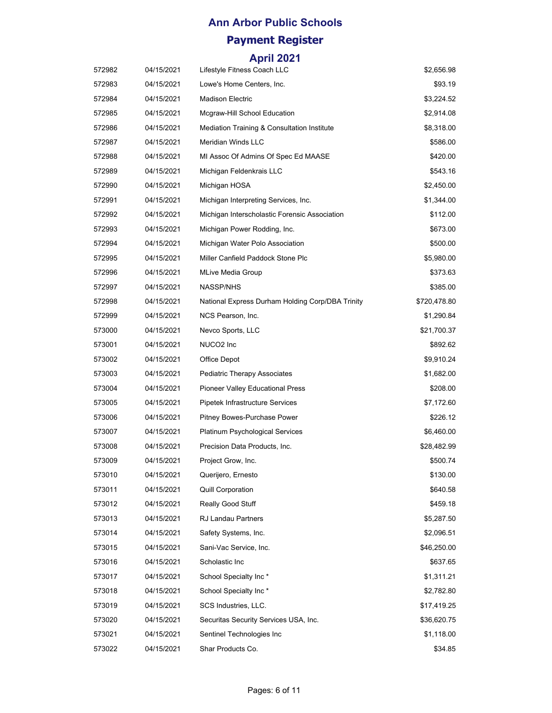| 572982 | 04/15/2021 | Lifestyle Fitness Coach LLC                      | \$2,656.98   |
|--------|------------|--------------------------------------------------|--------------|
| 572983 | 04/15/2021 | Lowe's Home Centers, Inc.                        | \$93.19      |
| 572984 | 04/15/2021 | <b>Madison Electric</b>                          | \$3,224.52   |
| 572985 | 04/15/2021 | Mcgraw-Hill School Education                     | \$2,914.08   |
| 572986 | 04/15/2021 | Mediation Training & Consultation Institute      | \$8,318.00   |
| 572987 | 04/15/2021 | Meridian Winds LLC                               | \$586.00     |
| 572988 | 04/15/2021 | MI Assoc Of Admins Of Spec Ed MAASE              | \$420.00     |
| 572989 | 04/15/2021 | Michigan Feldenkrais LLC                         | \$543.16     |
| 572990 | 04/15/2021 | Michigan HOSA                                    | \$2,450.00   |
| 572991 | 04/15/2021 | Michigan Interpreting Services, Inc.             | \$1,344.00   |
| 572992 | 04/15/2021 | Michigan Interscholastic Forensic Association    | \$112.00     |
| 572993 | 04/15/2021 | Michigan Power Rodding, Inc.                     | \$673.00     |
| 572994 | 04/15/2021 | Michigan Water Polo Association                  | \$500.00     |
| 572995 | 04/15/2021 | Miller Canfield Paddock Stone Plc                | \$5,980.00   |
| 572996 | 04/15/2021 | MLive Media Group                                | \$373.63     |
| 572997 | 04/15/2021 | <b>NASSP/NHS</b>                                 | \$385.00     |
| 572998 | 04/15/2021 | National Express Durham Holding Corp/DBA Trinity | \$720,478.80 |
| 572999 | 04/15/2021 | NCS Pearson, Inc.                                | \$1,290.84   |
| 573000 | 04/15/2021 | Nevco Sports, LLC                                | \$21,700.37  |
| 573001 | 04/15/2021 | NUCO <sub>2</sub> Inc                            | \$892.62     |
| 573002 | 04/15/2021 | Office Depot                                     | \$9,910.24   |
| 573003 | 04/15/2021 | <b>Pediatric Therapy Associates</b>              | \$1,682.00   |
| 573004 | 04/15/2021 | Pioneer Valley Educational Press                 | \$208.00     |
| 573005 | 04/15/2021 | Pipetek Infrastructure Services                  | \$7,172.60   |
| 573006 | 04/15/2021 | Pitney Bowes-Purchase Power                      | \$226.12     |
| 573007 | 04/15/2021 | Platinum Psychological Services                  | \$6,460.00   |
| 573008 | 04/15/2021 | Precision Data Products, Inc.                    | \$28,482.99  |
| 573009 | 04/15/2021 | Project Grow, Inc.                               | \$500.74     |
| 573010 | 04/15/2021 | Querijero, Ernesto                               | \$130.00     |
| 573011 | 04/15/2021 | <b>Quill Corporation</b>                         | \$640.58     |
| 573012 | 04/15/2021 | <b>Really Good Stuff</b>                         | \$459.18     |
| 573013 | 04/15/2021 | RJ Landau Partners                               | \$5,287.50   |
| 573014 | 04/15/2021 | Safety Systems, Inc.                             | \$2,096.51   |
| 573015 | 04/15/2021 | Sani-Vac Service, Inc.                           | \$46,250.00  |
| 573016 | 04/15/2021 | Scholastic Inc                                   | \$637.65     |
| 573017 | 04/15/2021 | School Specialty Inc*                            | \$1,311.21   |
| 573018 | 04/15/2021 | School Specialty Inc*                            | \$2,782.80   |
| 573019 | 04/15/2021 | SCS Industries, LLC.                             | \$17,419.25  |
| 573020 | 04/15/2021 | Securitas Security Services USA, Inc.            | \$36,620.75  |
| 573021 | 04/15/2021 | Sentinel Technologies Inc                        | \$1,118.00   |
| 573022 | 04/15/2021 | Shar Products Co.                                | \$34.85      |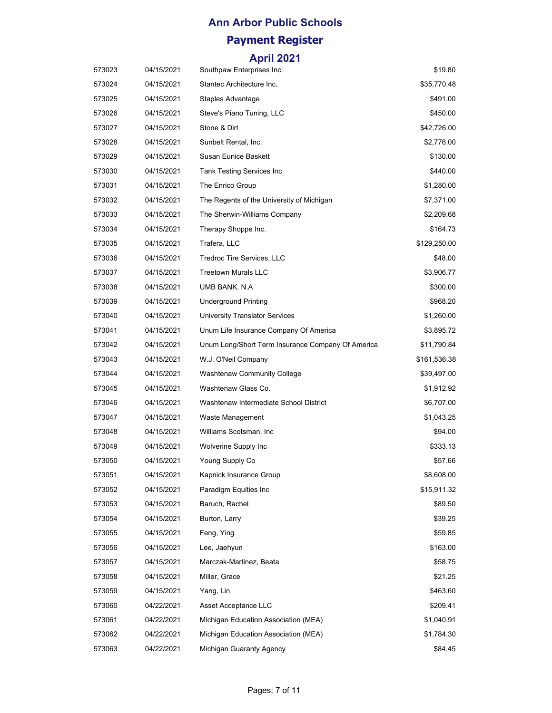| 573023 | 04/15/2021 | Southpaw Enterprises Inc.                         | \$19.80      |
|--------|------------|---------------------------------------------------|--------------|
| 573024 | 04/15/2021 | Stantec Architecture Inc.                         | \$35,770.48  |
| 573025 | 04/15/2021 | <b>Staples Advantage</b>                          | \$491.00     |
| 573026 | 04/15/2021 | Steve's Piano Tuning, LLC                         | \$450.00     |
| 573027 | 04/15/2021 | Stone & Dirt                                      | \$42,726.00  |
| 573028 | 04/15/2021 | Sunbelt Rental, Inc.                              | \$2,776.00   |
| 573029 | 04/15/2021 | Susan Eunice Baskett                              | \$130.00     |
| 573030 | 04/15/2021 | <b>Tank Testing Services Inc</b>                  | \$440.00     |
| 573031 | 04/15/2021 | The Enrico Group                                  | \$1,280.00   |
| 573032 | 04/15/2021 | The Regents of the University of Michigan         | \$7,371.00   |
| 573033 | 04/15/2021 | The Sherwin-Williams Company                      | \$2,209.68   |
| 573034 | 04/15/2021 | Therapy Shoppe Inc.                               | \$164.73     |
| 573035 | 04/15/2021 | Trafera, LLC                                      | \$129,250.00 |
| 573036 | 04/15/2021 | Tredroc Tire Services, LLC                        | \$48.00      |
| 573037 | 04/15/2021 | <b>Treetown Murals LLC</b>                        | \$3,906.77   |
| 573038 | 04/15/2021 | UMB BANK, N.A.                                    | \$300.00     |
| 573039 | 04/15/2021 | Underground Printing                              | \$968.20     |
| 573040 | 04/15/2021 | <b>University Translator Services</b>             | \$1,260.00   |
| 573041 | 04/15/2021 | Unum Life Insurance Company Of America            | \$3,895.72   |
| 573042 | 04/15/2021 | Unum Long/Short Term Insurance Company Of America | \$11,790.84  |
| 573043 | 04/15/2021 | W.J. O'Neil Company                               | \$161,536.38 |
| 573044 | 04/15/2021 | Washtenaw Community College                       | \$39,497.00  |
| 573045 | 04/15/2021 | Washtenaw Glass Co.                               | \$1,912.92   |
| 573046 | 04/15/2021 | Washtenaw Intermediate School District            | \$6,707.00   |
| 573047 | 04/15/2021 | Waste Management                                  | \$1,043.25   |
| 573048 | 04/15/2021 | Williams Scotsman, Inc.                           | \$94.00      |
| 573049 | 04/15/2021 | Wolverine Supply Inc                              | \$333.13     |
| 573050 | 04/15/2021 | Young Supply Co                                   | \$57.66      |
| 573051 | 04/15/2021 | Kapnick Insurance Group                           | \$8,608.00   |
| 573052 | 04/15/2021 | Paradigm Equities Inc                             | \$15,911.32  |
| 573053 | 04/15/2021 | Baruch, Rachel                                    | \$89.50      |
| 573054 | 04/15/2021 | Burton, Larry                                     | \$39.25      |
| 573055 | 04/15/2021 | Feng, Ying                                        | \$59.85      |
| 573056 | 04/15/2021 | Lee, Jaehyun                                      | \$163.00     |
| 573057 | 04/15/2021 | Marczak-Martinez, Beata                           | \$58.75      |
| 573058 | 04/15/2021 | Miller, Grace                                     | \$21.25      |
| 573059 | 04/15/2021 | Yang, Lin                                         | \$463.60     |
| 573060 | 04/22/2021 | Asset Acceptance LLC                              | \$209.41     |
| 573061 | 04/22/2021 | Michigan Education Association (MEA)              | \$1,040.91   |
| 573062 | 04/22/2021 | Michigan Education Association (MEA)              | \$1,784.30   |
| 573063 | 04/22/2021 | Michigan Guaranty Agency                          | \$84.45      |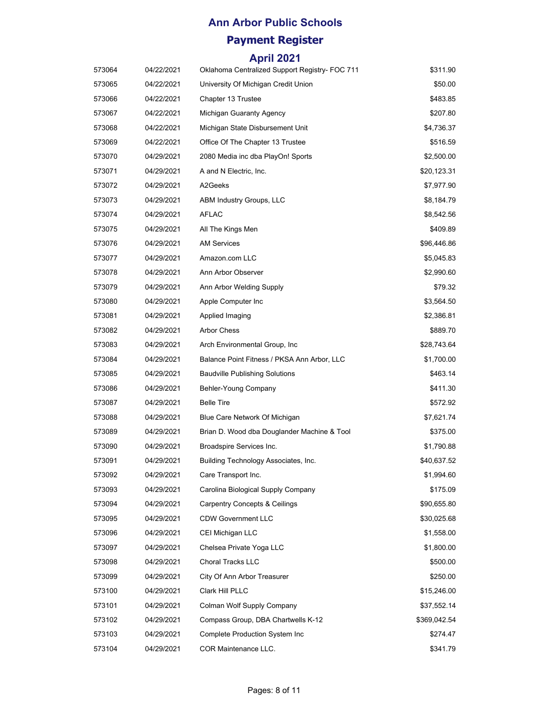| 573064 | 04/22/2021 | Oklahoma Centralized Support Registry- FOC 711 | \$311.90     |
|--------|------------|------------------------------------------------|--------------|
| 573065 | 04/22/2021 | University Of Michigan Credit Union            | \$50.00      |
| 573066 | 04/22/2021 | Chapter 13 Trustee                             | \$483.85     |
| 573067 | 04/22/2021 | Michigan Guaranty Agency                       | \$207.80     |
| 573068 | 04/22/2021 | Michigan State Disbursement Unit               | \$4,736.37   |
| 573069 | 04/22/2021 | Office Of The Chapter 13 Trustee               | \$516.59     |
| 573070 | 04/29/2021 | 2080 Media inc dba PlayOn! Sports              | \$2,500.00   |
| 573071 | 04/29/2021 | A and N Electric, Inc.                         | \$20,123.31  |
| 573072 | 04/29/2021 | A2Geeks                                        | \$7,977.90   |
| 573073 | 04/29/2021 | ABM Industry Groups, LLC                       | \$8,184.79   |
| 573074 | 04/29/2021 | <b>AFLAC</b>                                   | \$8,542.56   |
| 573075 | 04/29/2021 | All The Kings Men                              | \$409.89     |
| 573076 | 04/29/2021 | <b>AM Services</b>                             | \$96,446.86  |
| 573077 | 04/29/2021 | Amazon.com LLC                                 | \$5,045.83   |
| 573078 | 04/29/2021 | Ann Arbor Observer                             | \$2,990.60   |
| 573079 | 04/29/2021 | Ann Arbor Welding Supply                       | \$79.32      |
| 573080 | 04/29/2021 | Apple Computer Inc                             | \$3,564.50   |
| 573081 | 04/29/2021 | Applied Imaging                                | \$2,386.81   |
| 573082 | 04/29/2021 | <b>Arbor Chess</b>                             | \$889.70     |
| 573083 | 04/29/2021 | Arch Environmental Group, Inc.                 | \$28,743.64  |
| 573084 | 04/29/2021 | Balance Point Fitness / PKSA Ann Arbor, LLC    | \$1,700.00   |
| 573085 | 04/29/2021 | <b>Baudville Publishing Solutions</b>          | \$463.14     |
| 573086 | 04/29/2021 | Behler-Young Company                           | \$411.30     |
| 573087 | 04/29/2021 | <b>Belle Tire</b>                              | \$572.92     |
| 573088 | 04/29/2021 | Blue Care Network Of Michigan                  | \$7,621.74   |
| 573089 | 04/29/2021 | Brian D. Wood dba Douglander Machine & Tool    | \$375.00     |
| 573090 | 04/29/2021 | Broadspire Services Inc.                       | \$1,790.88   |
| 573091 | 04/29/2021 | Building Technology Associates, Inc.           | \$40,637.52  |
| 573092 | 04/29/2021 | Care Transport Inc.                            | \$1,994.60   |
| 573093 | 04/29/2021 | Carolina Biological Supply Company             | \$175.09     |
| 573094 | 04/29/2021 | <b>Carpentry Concepts &amp; Ceilings</b>       | \$90,655.80  |
| 573095 | 04/29/2021 | <b>CDW Government LLC</b>                      | \$30,025.68  |
| 573096 | 04/29/2021 | CEI Michigan LLC                               | \$1,558.00   |
| 573097 | 04/29/2021 | Chelsea Private Yoga LLC                       | \$1,800.00   |
| 573098 | 04/29/2021 | <b>Choral Tracks LLC</b>                       | \$500.00     |
| 573099 | 04/29/2021 | City Of Ann Arbor Treasurer                    | \$250.00     |
| 573100 | 04/29/2021 | Clark Hill PLLC                                | \$15,246.00  |
| 573101 | 04/29/2021 | Colman Wolf Supply Company                     | \$37,552.14  |
| 573102 | 04/29/2021 | Compass Group, DBA Chartwells K-12             | \$369,042.54 |
| 573103 | 04/29/2021 | Complete Production System Inc                 | \$274.47     |
| 573104 | 04/29/2021 | COR Maintenance LLC.                           | \$341.79     |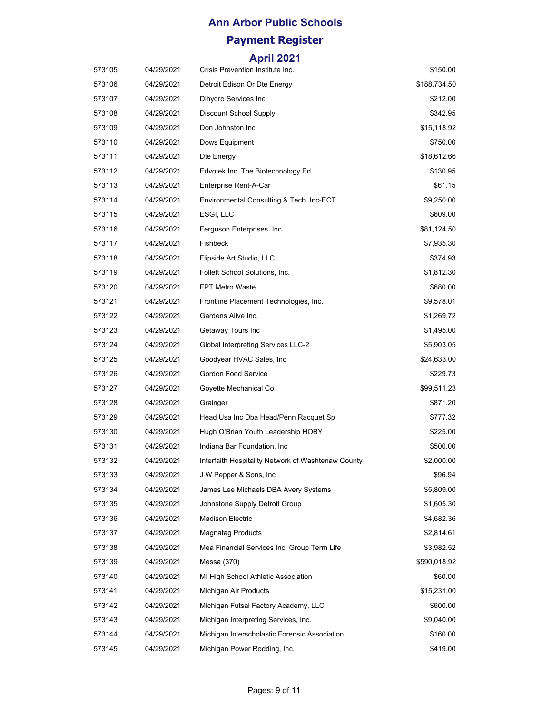| 573105 | 04/29/2021 | Crisis Prevention Institute Inc.                   | \$150.00     |
|--------|------------|----------------------------------------------------|--------------|
| 573106 | 04/29/2021 | Detroit Edison Or Dte Energy                       | \$188,734.50 |
| 573107 | 04/29/2021 | Dihydro Services Inc                               | \$212.00     |
| 573108 | 04/29/2021 | <b>Discount School Supply</b>                      | \$342.95     |
| 573109 | 04/29/2021 | Don Johnston Inc                                   | \$15,118.92  |
| 573110 | 04/29/2021 | Dows Equipment                                     | \$750.00     |
| 573111 | 04/29/2021 | Dte Energy                                         | \$18,612.66  |
| 573112 | 04/29/2021 | Edvotek Inc. The Biotechnology Ed                  | \$130.95     |
| 573113 | 04/29/2021 | Enterprise Rent-A-Car                              | \$61.15      |
| 573114 | 04/29/2021 | Environmental Consulting & Tech. Inc-ECT           | \$9,250.00   |
| 573115 | 04/29/2021 | ESGI, LLC                                          | \$609.00     |
| 573116 | 04/29/2021 | Ferguson Enterprises, Inc.                         | \$81,124.50  |
| 573117 | 04/29/2021 | Fishbeck                                           | \$7,935.30   |
| 573118 | 04/29/2021 | Flipside Art Studio, LLC                           | \$374.93     |
| 573119 | 04/29/2021 | Follett School Solutions, Inc.                     | \$1,812.30   |
| 573120 | 04/29/2021 | <b>FPT Metro Waste</b>                             | \$680.00     |
| 573121 | 04/29/2021 | Frontline Placement Technologies, Inc.             | \$9,578.01   |
| 573122 | 04/29/2021 | Gardens Alive Inc.                                 | \$1,269.72   |
| 573123 | 04/29/2021 | Getaway Tours Inc                                  | \$1,495.00   |
| 573124 | 04/29/2021 | Global Interpreting Services LLC-2                 | \$5,903.05   |
| 573125 | 04/29/2021 | Goodyear HVAC Sales, Inc.                          | \$24,633.00  |
| 573126 | 04/29/2021 | Gordon Food Service                                | \$229.73     |
| 573127 | 04/29/2021 | Goyette Mechanical Co                              | \$99,511.23  |
| 573128 | 04/29/2021 | Grainger                                           | \$871.20     |
| 573129 | 04/29/2021 | Head Usa Inc Dba Head/Penn Racquet Sp              | \$777.32     |
| 573130 | 04/29/2021 | Hugh O'Brian Youth Leadership HOBY                 | \$225.00     |
| 573131 | 04/29/2021 | Indiana Bar Foundation, Inc.                       | \$500.00     |
| 573132 | 04/29/2021 | Interfaith Hospitality Network of Washtenaw County | \$2,000.00   |
| 573133 | 04/29/2021 | J W Pepper & Sons, Inc.                            | \$96.94      |
| 573134 | 04/29/2021 | James Lee Michaels DBA Avery Systems               | \$5,809.00   |
| 573135 | 04/29/2021 | Johnstone Supply Detroit Group                     | \$1,605.30   |
| 573136 | 04/29/2021 | <b>Madison Electric</b>                            | \$4,682.36   |
| 573137 | 04/29/2021 | <b>Magnatag Products</b>                           | \$2,814.61   |
| 573138 | 04/29/2021 | Mea Financial Services Inc. Group Term Life        | \$3,982.52   |
| 573139 | 04/29/2021 | Messa (370)                                        | \$590,018.92 |
| 573140 | 04/29/2021 | MI High School Athletic Association                | \$60.00      |
| 573141 | 04/29/2021 | Michigan Air Products                              | \$15,231.00  |
| 573142 | 04/29/2021 | Michigan Futsal Factory Academy, LLC               | \$600.00     |
| 573143 | 04/29/2021 | Michigan Interpreting Services, Inc.               | \$9,040.00   |
| 573144 | 04/29/2021 | Michigan Interscholastic Forensic Association      | \$160.00     |
| 573145 | 04/29/2021 | Michigan Power Rodding, Inc.                       | \$419.00     |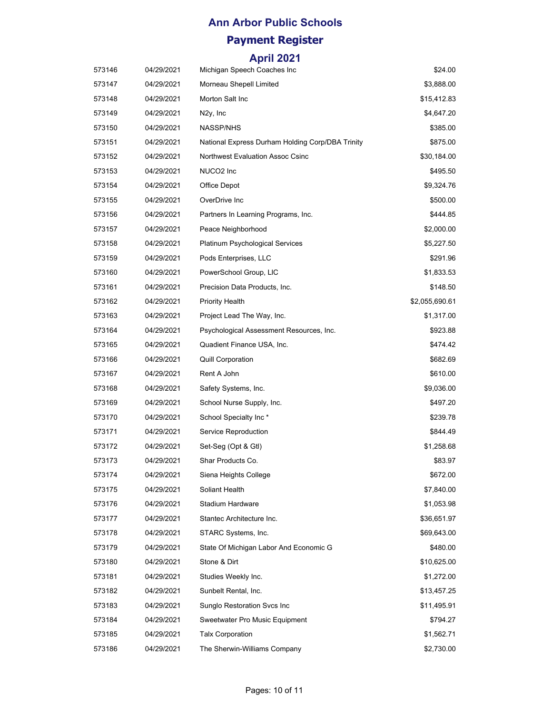| 573146 | 04/29/2021 | Michigan Speech Coaches Inc                      | \$24.00        |
|--------|------------|--------------------------------------------------|----------------|
| 573147 | 04/29/2021 | Morneau Shepell Limited                          | \$3,888.00     |
| 573148 | 04/29/2021 | Morton Salt Inc                                  | \$15,412.83    |
| 573149 | 04/29/2021 | N2y, Inc                                         | \$4,647.20     |
| 573150 | 04/29/2021 | <b>NASSP/NHS</b>                                 | \$385.00       |
| 573151 | 04/29/2021 | National Express Durham Holding Corp/DBA Trinity | \$875.00       |
| 573152 | 04/29/2021 | <b>Northwest Evaluation Assoc Csinc</b>          | \$30,184.00    |
| 573153 | 04/29/2021 | NUCO2 Inc                                        | \$495.50       |
| 573154 | 04/29/2021 | Office Depot                                     | \$9,324.76     |
| 573155 | 04/29/2021 | OverDrive Inc                                    | \$500.00       |
| 573156 | 04/29/2021 | Partners In Learning Programs, Inc.              | \$444.85       |
| 573157 | 04/29/2021 | Peace Neighborhood                               | \$2,000.00     |
| 573158 | 04/29/2021 | Platinum Psychological Services                  | \$5,227.50     |
| 573159 | 04/29/2021 | Pods Enterprises, LLC                            | \$291.96       |
| 573160 | 04/29/2021 | PowerSchool Group, LIC                           | \$1,833.53     |
| 573161 | 04/29/2021 | Precision Data Products, Inc.                    | \$148.50       |
| 573162 | 04/29/2021 | <b>Priority Health</b>                           | \$2,055,690.61 |
| 573163 | 04/29/2021 | Project Lead The Way, Inc.                       | \$1,317.00     |
| 573164 | 04/29/2021 | Psychological Assessment Resources, Inc.         | \$923.88       |
| 573165 | 04/29/2021 | Quadient Finance USA, Inc.                       | \$474.42       |
| 573166 | 04/29/2021 | <b>Quill Corporation</b>                         | \$682.69       |
| 573167 | 04/29/2021 | Rent A John                                      | \$610.00       |
| 573168 | 04/29/2021 | Safety Systems, Inc.                             | \$9,036.00     |
| 573169 | 04/29/2021 | School Nurse Supply, Inc.                        | \$497.20       |
| 573170 | 04/29/2021 | School Specialty Inc *                           | \$239.78       |
| 573171 | 04/29/2021 | Service Reproduction                             | \$844.49       |
| 573172 | 04/29/2021 | Set-Seg (Opt & Gtl)                              | \$1,258.68     |
| 573173 | 04/29/2021 | Shar Products Co.                                | \$83.97        |
| 573174 | 04/29/2021 | Siena Heights College                            | \$672.00       |
| 573175 | 04/29/2021 | Soliant Health                                   | \$7,840.00     |
| 573176 | 04/29/2021 | Stadium Hardware                                 | \$1,053.98     |
| 573177 | 04/29/2021 | Stantec Architecture Inc.                        | \$36,651.97    |
| 573178 | 04/29/2021 | STARC Systems, Inc.                              | \$69,643.00    |
| 573179 | 04/29/2021 | State Of Michigan Labor And Economic G           | \$480.00       |
| 573180 | 04/29/2021 | Stone & Dirt                                     | \$10,625.00    |
| 573181 | 04/29/2021 | Studies Weekly Inc.                              | \$1,272.00     |
| 573182 | 04/29/2021 | Sunbelt Rental, Inc.                             | \$13,457.25    |
| 573183 | 04/29/2021 | <b>Sunglo Restoration Svcs Inc.</b>              | \$11,495.91    |
| 573184 | 04/29/2021 | Sweetwater Pro Music Equipment                   | \$794.27       |
| 573185 | 04/29/2021 | <b>Talx Corporation</b>                          | \$1,562.71     |
| 573186 | 04/29/2021 | The Sherwin-Williams Company                     | \$2,730.00     |